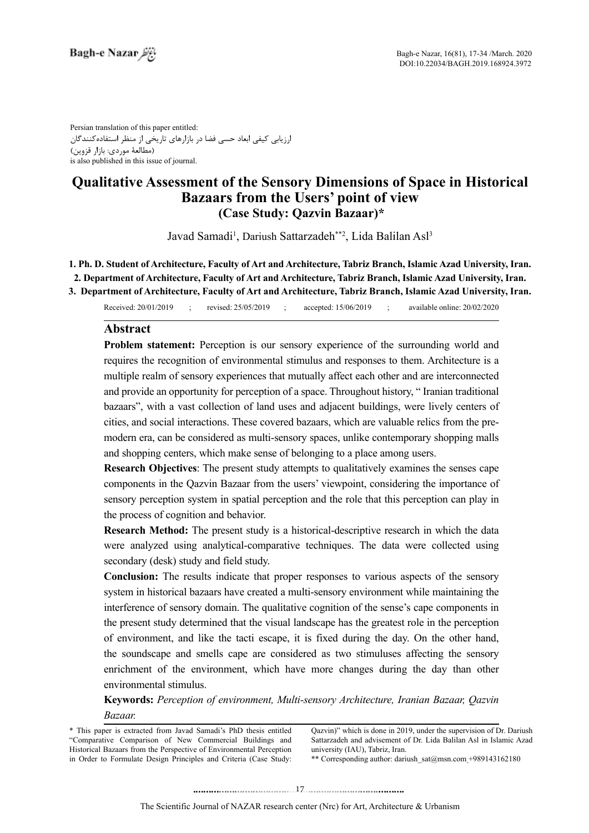Persian translation of this paper entitled: ارزیابی کیفی ابعاد حسی فضا در بازارهای تاریخی از منظر استفادهکنندگان )مطالعۀ موردی: بازار قزوین( is also published in this issue of journal.

# **Qualitative Assessment of the Sensory Dimensions of Space in Historical Bazaars from the Users' point of view (Case Study: Qazvin Bazaar)\***

Javad Samadi<sup>1</sup>, Dariush Sattarzadeh\*\*2, Lida Balilan Asl<sup>3</sup>

1. Ph. D. Student of Architecture, Faculty of Art and Architecture, Tabriz Branch, Islamic Azad University, Iran. 2. Department of Architecture, Faculty of Art and Architecture, Tabriz Branch, Islamic Azad University, Iran.

Received: 20/01/2019 ; revised: 25/05/2019 ; accepted: 15/06/2019 ; available online: 20/02/2020 3. Department of Architecture, Faculty of Art and Architecture, Tabriz Branch, Islamic Azad University, Iran.

# **Abstract**

Problem statement: Perception is our sensory experience of the surrounding world and requires the recognition of environmental stimulus and responses to them. Architecture is a multiple realm of sensory experiences that mutually affect each other and are interconnected and provide an opportunity for perception of a space. Throughout history, " Iranian traditional bazaars", with a vast collection of land uses and adjacent buildings, were lively centers of modern era, can be considered as multi-sensory spaces, unlike contemporary shopping malls cities, and social interactions. These covered bazaars, which are valuable relics from the preand shopping centers, which make sense of belonging to a place among users.

**Research Objectives:** The present study attempts to qualitatively examines the senses cape components in the Qazvin Bazaar from the users' viewpoint, considering the importance of sensory perception system in spatial perception and the role that this perception can play in the process of cognition and behavior.

**Research Method:** The present study is a historical-descriptive-research in which the data were analyzed using analytical-comparative techniques. The data were collected using secondary (desk) study and field study.

Conclusion: The results indicate that proper responses to various aspects of the sensory system in historical bazaars have created a multi-sensory environment while maintaining the interference of sensory domain. The qualitative cognition of the sense's cape components in the present study determined that the visual landscape has the greatest role in the perception of environment, and like the tacti escape, it is fixed during the day. On the other hand, the soundscape and smells cape are considered as two stimuluses affecting the sensory enrichment of the environment, which have more changes during the day than other environmental stimulus.

**Keywords:** Perception of environment, Multi-sensory Architecture, Iranian Bazaar, Oazvin *.Bazaar*

Qazvin)" which is done in 2019, under the supervision of Dr. Dariush Sattarzadeh and advisement of Dr. Lida Balilan Asl in Islamic Azad university (IAU). Tabriz. Iran.

\*\* Corresponding author: dariush  $sat@msn.com+989143162180$ 

<sup>\*</sup> This paper is extracted from Javad Samadi's PhD thesis entitled "Comparative Comparison of New Commercial Buildings and Historical Bazaars from the Perspective of Environmental Perception in Order to Formulate Design Principles and Criteria (Case Study: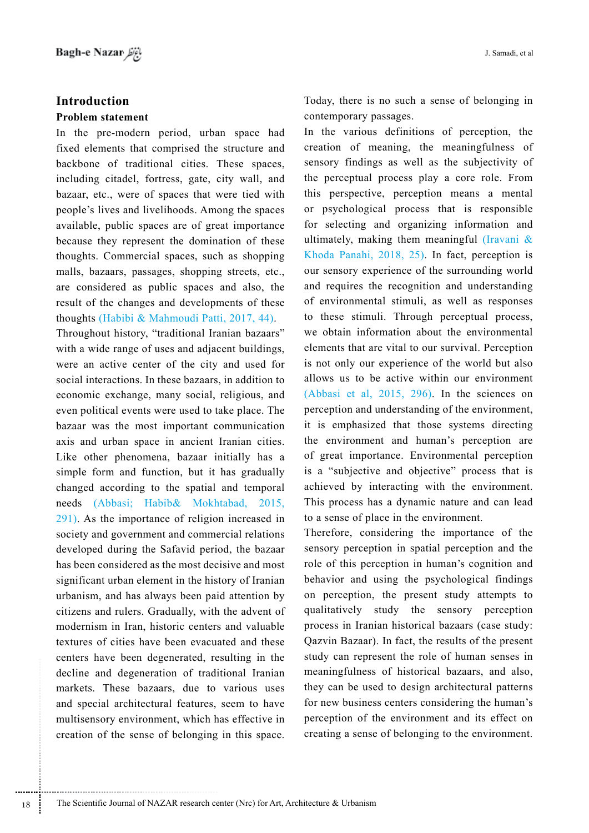# **Introduction**

### **Problem statement**

In the pre-modern period, urban space had fixed elements that comprised the structure and backbone of traditional cities. These spaces, including citadel, fortress, gate, city wall, and bazaar, etc., were of spaces that were tied with people's lives and livelihoods. Among the spaces available, public spaces are of great importance because they represent the domination of these thoughts. Commercial spaces, such as shopping malls, bazaars, passages, shopping streets, etc., are considered as public spaces and also, the result of the changes and developments of these thoughts (Habibi & Mahmoudi Patti,  $2017, 44$ ). Throughout history, "traditional Iranian bazaars" with a wide range of uses and adjacent buildings, were an active center of the city and used for social interactions. In these bazaars, in addition to economic exchange, many social, religious, and even political events were used to take place. The bazaar was the most important communication axis and urban space in ancient Iranian cities. Like other phenomena, bazaar initially has a simple form and function, but it has gradually changed according to the spatial and temporal needs (Abbasi; Habib& Mokhtabad, 2015,  $291$ ). As the importance of religion increased in society and government and commercial relations developed during the Safavid period, the bazaar has been considered as the most decisive and most significant urban element in the history of Iranian urbanism, and has always been paid attention by citizens and rulers. Gradually, with the advent of modernism in Iran, historic centers and valuable textures of cities have been evacuated and these centers have been degenerated, resulting in the decline and degeneration of traditional Iranian markets. These bazaars, due to various uses and special architectural features, seem to have multisensory environment, which has effective in creation of the sense of belonging in this space. Today, there is no such a sense of belonging in contemporary passages.

In the various definitions of perception, the creation of meaning, the meaningfulness of sensory findings as well as the subjectivity of the perceptual process play a core role. From this perspective, perception means a mental or psychological process that is responsible for selecting and organizing information and ultimately, making them meaningful (Iravani  $\&$ Khoda Panahi,  $2018$ ,  $25$ ). In fact, perception is our sensory experience of the surrounding world and requires the recognition and understanding of environmental stimuli, as well as responses to these stimuli. Through perceptual process, we obtain information about the environmental elements that are vital to our survival. Perception is not only our experience of the world but also allows us to be active within our environment (Abbasi et al.,  $2015$ ,  $296$ ). In the sciences on perception and understanding of the environment, it is emphasized that those systems directing the environment and human's perception are of great importance. Environmental perception is a "subjective and objective" process that is achieved by interacting with the environment. This process has a dynamic nature and can lead to a sense of place in the environment.

Therefore, considering the importance of the sensory perception in spatial perception and the role of this perception in human's cognition and behavior and using the psychological findings on perception, the present study attempts to qualitatively study the sensory perception process in Iranian historical bazaars (case study: Qazvin Bazaar). In fact, the results of the present study can represent the role of human senses in meaningfulness of historical bazaars, and also, they can be used to design architectural patterns for new business centers considering the human's perception of the environment and its effect on creating a sense of belonging to the environment.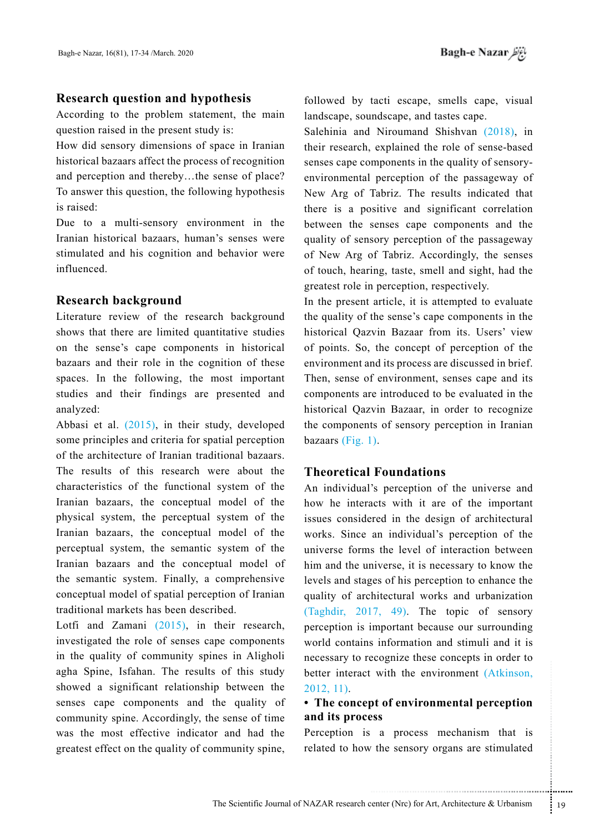# **Research question and hypothesis**

According to the problem statement, the main question raised in the present study is:

How did sensory dimensions of space in Iranian historical bazaars affect the process of recognition and perception and thereby...the sense of place? To answer this question, the following hypothesis is raised:

Due to a multi-sensory environment in the Iranian historical bazaars, human's senses were stimulated and his cognition and behavior were .influenced

## **Research background**

Literature review of the research background shows that there are limited quantitative studies on the sense's cape components in historical bazaars and their role in the cognition of these spaces. In the following, the most important studies and their findings are presented and analyzed:

Abbasi et al.  $(2015)$ , in their study, developed some principles and criteria for spatial perception of the architecture of Iranian traditional bazaars. The results of this research were about the characteristics of the functional system of the Iranian bazaars, the conceptual model of the physical system, the perceptual system of the Iranian bazaars, the conceptual model of the perceptual system, the semantic system of the Iranian bazaars and the conceptual model of the semantic system. Finally, a comprehensive conceptual model of spatial perception of Iranian traditional markets has been described.

Lotfi and Zamani  $(2015)$ , in their research, investigated the role of senses cape components in the quality of community spines in Aligholi agha Spine, Isfahan. The results of this study showed a significant relationship between the senses cape components and the quality of community spine. Accordingly, the sense of time was the most effective indicator and had the greatest effect on the quality of community spine,

followed by tacti escape, smells cape, visual landscape, soundscape, and tastes cape.

Salehinia and Niroumand Shishvan  $(2018)$ , in their research, explained the role of sense-based environmental perception of the passageway of senses cape components in the quality of sensory-New Arg of Tabriz. The results indicated that there is a positive and significant correlation between the senses cape components and the quality of sensory perception of the passageway of New Arg of Tabriz. Accordingly, the senses of touch, hearing, taste, smell and sight, had the greatest role in perception, respectively.

In the present article, it is attempted to evaluate the quality of the sense's cape components in the historical Qazvin Bazaar from its. Users' view of points. So, the concept of perception of the environment and its process are discussed in brief. Then, sense of environment, senses cape and its components are introduced to be evaluated in the historical Qazvin Bazaar, in order to recognize the components of sensory perception in Iranian bazaars  $(Fig, 1)$ .

# **Theoretical Foundations**

with the environmental perception<br>
of environmental perception<br>
ss<br>
a process mechanism that is<br>
the sensory organs are stimulated<br>
enter (Nrc) for Art, Architecture & Urbanism<br>
19 An individual's perception of the universe and how he interacts with it are of the important issues considered in the design of architectural works. Since an individual's perception of the universe forms the level of interaction between him and the universe, it is necessary to know the levels and stages of his perception to enhance the quality of architectural works and urbanization (Taghdir, 2017, 49). The topic of sensory perception is important because our surrounding world contains information and stimuli and it is necessary to recognize these concepts in order to better interact with the environment (Atkinson,  $2012, 11$ 

# **• The concept of environmental perception** and its process

Perception is a process mechanism that is related to how the sensory organs are stimulated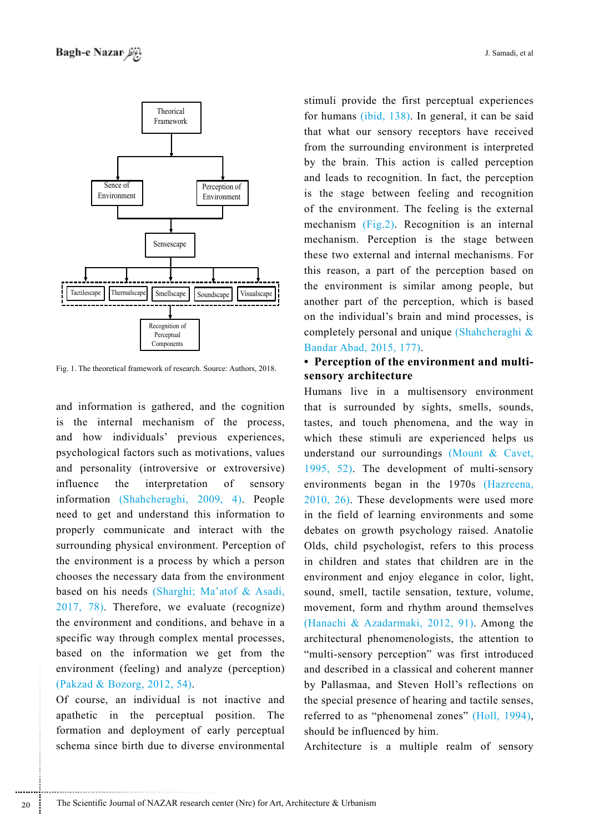

Fig. 1. The theoretical framework of research. Source: Authors, 2018.

and information is gathered, and the cognition is the internal mechanism of the process, and how individuals' previous experiences, psychological factors such as motivations, values and personality (introversive or extroversive) influence the interpretation  $\sigma$ f sensory information (Shahcheraghi, 2009, 4). People need to get and understand this information to properly communicate and interact with the surrounding physical environment. Perception of the environment is a process by which a person chooses the necessary data from the environment based on his needs (Sharghi; Ma'atof & Asadi, 2017, 78). Therefore, we evaluate (recognize) the environment and conditions, and behave in a specific way through complex mental processes. based on the information we get from the environment (feeling) and analyze (perception) (Pakzad & Bozorg, 2012, 54).

Of course, an individual is not inactive and apathetic in the perceptual position. The formation and deployment of early perceptual schema since birth due to diverse environmental

stimuli provide the first perceptual experiences for humans (ibid. 138). In general, it can be said that what our sensory receptors have received from the surrounding environment is interpreted by the brain. This action is called perception and leads to recognition. In fact, the perception is the stage between feeling and recognition of the environment. The feeling is the external mechanism (Fig.2). Recognition is an internal mechanism. Perception is the stage between these two external and internal mechanisms. For this reason, a part of the perception based on the environment is similar among people, but another part of the perception, which is based on the individual's brain and mind processes, is completely personal and unique (Shahcheraghi & Bandar Abad, 2015, 177).

# • Perception of the environment and multisensory architecture

Humans live in a multisensory environment that is surrounded by sights, smells, sounds, tastes, and touch phenomena, and the way in which these stimuli are experienced helps us understand our surroundings (Mount & Cavet, 1995, 52). The development of multi-sensory environments began in the 1970s (Hazreena,  $2010, 26$ ). These developments were used more in the field of learning environments and some debates on growth psychology raised. Anatolie Olds, child psychologist, refers to this process in children and states that children are in the environment and enjoy elegance in color, light, sound, smell, tactile sensation, texture, volume, movement, form and rhythm around themselves (Hanachi & Azadarmaki, 2012, 91). Among the architectural phenomenologists, the attention to "multi-sensory perception" was first introduced and described in a classical and coherent manner by Pallasmaa, and Steven Holl's reflections on the special presence of hearing and tactile senses. referred to as "phenomenal zones" (Holl, 1994), should be influenced by him.

Architecture is a multiple realm of sensory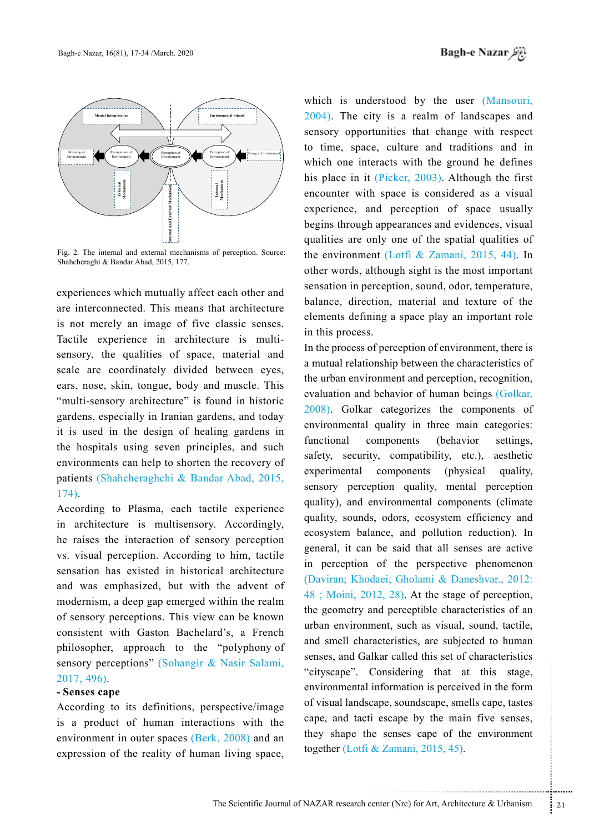



Fig. 2. The internal and external mechanisms of perception. Source: Shahcheraghi & Bandar Abad, 2015, 177.

experiences which mutually affect each other and are interconnected. This means that architecture is not merely an image of five classic senses. sensory, the qualities of space, material and Tactile experience in architecture is multiscale are coordinately divided between eyes, ears, nose, skin, tongue, body and muscle. This " multi-sensory architecture" is found in historic gardens, especially in Iranian gardens, and today it is used in the design of healing gardens in the hospitals using seven principles, and such environments can help to shorten the recovery of patients (Shahcheraghchi & Bandar Abad, 2015, 174).

According to Plasma, each tactile experience in architecture is multisensory. Accordingly, he raises the interaction of sensory perception vs. visual perception. According to him, tactile sensation has existed in historical architecture and was emphasized, but with the advent of modernism, a deep gap emerged within the realm of sensory perceptions. This view can be known consistent with Gaston Bachelard's, a French philosopher, approach to the "polyphony of sensory perceptions" (Sohangir & Nasir Salami,  $2017, 496$ .

# **-** Senses cape

According to its definitions, perspective/image is a product of human interactions with the environment in outer spaces  $(Berk, 2008)$  and an expression of the reality of human living space,

which is understood by the user (Mansouri,  $2004$ ). The city is a realm of landscapes and sensory opportunities that change with respect to time, space, culture and traditions and in which one interacts with the ground he defines his place in it (Picker,  $2003$ ). Although the first encounter with space is considered as a visual experience, and perception of space usually begins through appearances and evidences, visual qualities are only one of the spatial qualities of the environment (Lotfi & Zamani, 2015, 44). In other words, although sight is the most important sensation in perception, sound, odor, temperature, balance, direction, material and texture of the elements defining a space play an important role in this process.

Considering that at this stage,<br>information is perceived in the form<br>cape, soundscape, smells cape, tastes<br>i escape by the main five senses,<br>e senses cape of the environment<br>& Zamani, 2015, 45).<br>All and all and the environ In the process of perception of environment, there is a mutual relationship between the characteristics of the urban environment and perception, recognition, evaluation and behavior of human beings (Golkar,  $(2008)$ . Golkar categorizes the components of environmental quality in three main categories: functional components (behavior settings, safety, security, compatibility, etc.), aesthetic experimental components (physical quality, sensory perception quality, mental perception quality), and environmental components (climate quality, sounds, odors, ecosystem efficiency and ecosystem balance, and pollution reduction). In general, it can be said that all senses are active in perception of the perspective phenomenon (Daviran; Khodaei; Gholami & Daneshvar., 2012:  $48$ ; Moini, 2012, 28). At the stage of perception, the geometry and perceptible characteristics of an urban environment, such as visual, sound, tactile, and smell characteristics, are subjected to human senses, and Galkar called this set of characteristics "cityscape". Considering that at this stage, environmental information is perceived in the form of visual landscape, soundscape, smells cape, tastes cape, and tacti escape by the main five senses, they shape the senses cape of the environment together (Lotfi & Zamani, 2015, 45).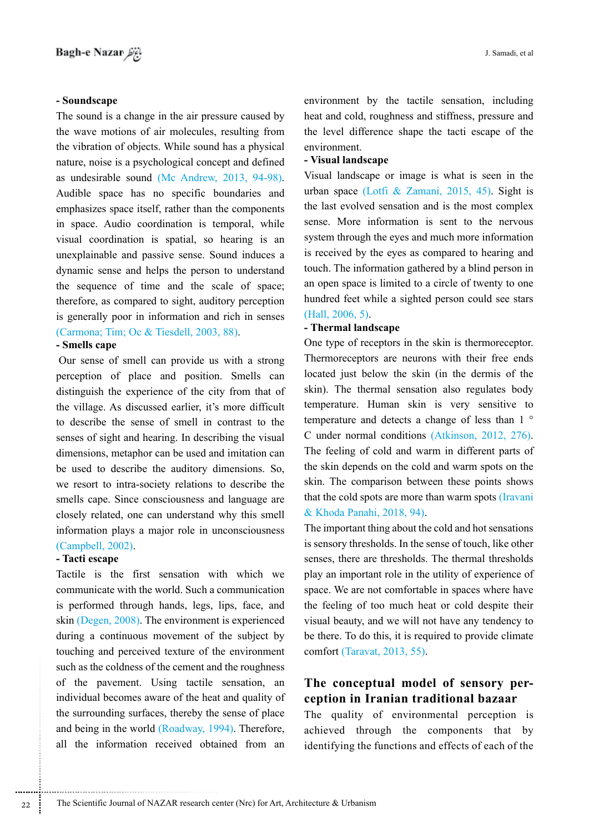## **Soundscape -**

The sound is a change in the air pressure caused by the wave motions of air molecules, resulting from the vibration of objects. While sound has a physical nature, noise is a psychological concept and defined as undesirable sound (Mc Andrew,  $2013$ ,  $94-98$ ). Audible space has no specific boundaries and emphasizes space itself, rather than the components in space. Audio coordination is temporal, while visual coordination is spatial, so hearing is an unexplainable and passive sense. Sound induces a dynamic sense and helps the person to understand the sequence of time and the scale of space; therefore, as compared to sight, auditory perception is generally poor in information and rich in senses  $(Carmona: Tim: Oc & Tiesdell, 2003, 88)$ .

## **-** Smells cape

Our sense of smell can provide us with a strong perception of place and position. Smells can distinguish the experience of the city from that of the village. As discussed earlier, it's more difficult to describe the sense of smell in contrast to the senses of sight and hearing. In describing the visual dimensions, metaphor can be used and imitation can be used to describe the auditory dimensions. So, we resort to intra-society relations to describe the smells cape. Since consciousness and language are closely related, one can understand why this smell information plays a major role in unconsciousness

# $(Campbell, 2002)$ .

# **-** Tacti escape

Tactile is the first sensation with which we communicate with the world. Such a communication is performed through hands, legs, lips, face, and skin (Degen,  $2008$ ). The environment is experienced during a continuous movement of the subject by touching and perceived texture of the environment such as the coldness of the cement and the roughness of the pavement. Using tactile sensation, an individual becomes aware of the heat and quality of the surrounding surfaces, thereby the sense of place and being in the world (Roadway, 1994). Therefore, all the information received obtained from an

environment by the tactile sensation, including heat and cold, roughness and stiffness, pressure and the level difference shape the tacti escape of the .environment

#### **landscape Visual -**

Visual landscape or image is what is seen in the urban space (Lotfi & Zamani, 2015, 45). Sight is the last evolved sensation and is the most complex sense. More information is sent to the nervous system through the eyes and much more information is received by the eyes as compared to hearing and touch. The information gathered by a blind person in an open space is limited to a circle of twenty to one hundred feet while a sighted person could see stars  $(Hall, 2006, 5)$ .

#### **- Thermal landscape**

One type of receptors in the skin is thermoreceptor. Thermoreceptors are neurons with their free ends located just below the skin (in the dermis of the skin). The thermal sensation also regulates body temperature. Human skin is very sensitive to temperature and detects a change of less than  $1^{\circ}$ C under normal conditions (Atkinson,  $2012$ ,  $276$ ). The feeling of cold and warm in different parts of the skin depends on the cold and warm spots on the skin. The comparison between these points shows that the cold spots are more than warm spots (Iravani & Khoda Panahi, 2018, 94).

The important thing about the cold and hot sensations is sensory thresholds. In the sense of touch, like other senses, there are thresholds. The thermal thresholds play an important role in the utility of experience of space. We are not comfortable in spaces where have the feeling of too much heat or cold despite their visual beauty, and we will not have any tendency to be there. To do this, it is required to provide climate comfort (Taravat,  $2013, 55$ ).

# **The conceptual model of sensory per-<br>
<b>ception** in Iranian traditional bazaar

The quality of environmental perception is achieved through the components that by identifying the functions and effects of each of the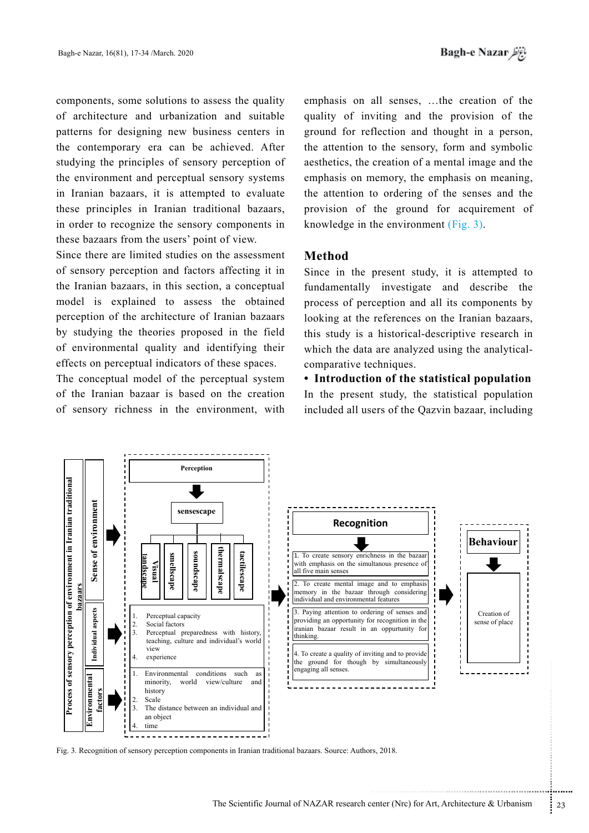components, some solutions to assess the quality of architecture and urbanization and suitable patterns for designing new business centers in the contemporary era can be achieved. After studying the principles of sensory perception of the environment and perceptual sensory systems in Iranian bazaars, it is attempted to evaluate these principles in Iranian traditional bazaars, in order to recognize the sensory components in these bazaars from the users' point of view.

Since there are limited studies on the assessment of sensory perception and factors affecting it in the Iranian bazaars, in this section, a conceptual model is explained to assess the obtained perception of the architecture of Iranian bazaars by studying the theories proposed in the field of environmental quality and identifying their effects on perceptual indicators of these spaces.

The conceptual model of the perceptual system of the Iranian bazaar is based on the creation of sensory richness in the environment, with

emphasis on all senses, ...the creation of the quality of inviting and the provision of the ground for reflection and thought in a person, the attention to the sensory, form and symbolic aesthetics, the creation of a mental image and the emphasis on memory, the emphasis on meaning, the attention to ordering of the senses and the provision of the ground for acquirement of knowledge in the environment  $(Fig. 3)$ .

# **Method**

Since in the present study, it is attempted to fundamentally investigate and describe the process of perception and all its components by looking at the references on the Iranian bazaars, this study is a historical-descriptive research in which the data are analyzed using the analytical-comparative techniques.

**• Introduction of the statistical population** In the present study, the statistical population included all users of the Qazvin bazaar, including



Fig. 3. Recognition of sensory perception components in Iranian traditional bazaars. Source: Authors, 2018.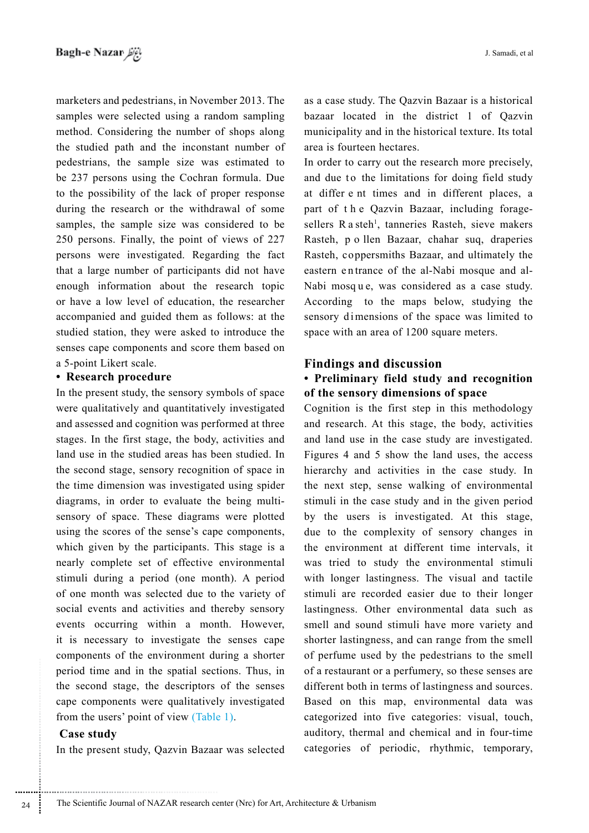marketers and pedestrians, in November 2013. The samples were selected using a random sampling method. Considering the number of shops along the studied path and the inconstant number of pedestrians, the sample size was estimated to be 237 persons using the Cochran formula. Due to the possibility of the lack of proper response during the research or the withdrawal of some samples, the sample size was considered to be  $250$  persons. Finally, the point of views of  $227$ persons were investigated. Regarding the fact that a large number of participants did not have enough information about the research topic or have a low level of education, the researcher accompanied and guided them as follows: at the studied station, they were asked to introduce the senses cape components and score them based on a 5-point Likert scale.

# **• Research procedure**

In the present study, the sensory symbols of space were qualitatively and quantitatively investigated and assessed and cognition was performed at three stages. In the first stage, the body, activities and land use in the studied areas has been studied. In the second stage, sensory recognition of space in the time dimension was investigated using spider sensory of space. These diagrams were plotted diagrams, in order to evaluate the being multiusing the scores of the sense's cape components, which given by the participants. This stage is a nearly complete set of effective environmental stimuli during a period (one month). A period of one month was selected due to the variety of social events and activities and thereby sensory events occurring within a month. However, it is necessary to investigate the senses cape components of the environment during a shorter period time and in the spatial sections. Thus, in the second stage, the descriptors of the senses cape components were qualitatively investigated from the users' point of view (Table 1).

## **study Case**

............................................................

In the present study, Qazvin Bazaar was selected

as a case study. The Qazvin Bazaar is a historical bazaar located in the district  $1$  of Oazvin municipality and in the historical texture. Its total area is fourteen hectares.

In order to carry out the research more precisely, and due to the limitations for doing field study at differ e nt times and in different places, a part of the Qazvin Bazaar, including forage-<br>sellers R a steh<sup>1</sup>, tanneries Rasteh, sieve makers part of the Qazvin Bazaar, including forage-Rasteh, p o llen Bazaar, chahar suq, draperies Rasteh, coppersmiths Bazaar, and ultimately the Nabi mosque, was considered as a case study. eastern entrance of the al-Nabi mosque and al-According to the maps below, studying the sensory dimensions of the space was limited to space with an area of 1200 square meters.

# **Findings and discussion**

# **• Preliminary field study and recognition** of the sensory dimensions of space

Cognition is the first step in this methodology and research. At this stage, the body, activities and land use in the case study are investigated. Figures 4 and 5 show the land uses, the access hierarchy and activities in the case study. In the next step, sense walking of environmental stimuli in the case study and in the given period by the users is investigated. At this stage, due to the complexity of sensory changes in the environment at different time intervals, it was tried to study the environmental stimuli with longer lastingness. The visual and tactile stimuli are recorded easier due to their longer lastingness. Other environmental data such as smell and sound stimuli have more variety and shorter lastingness, and can range from the smell of perfume used by the pedestrians to the smell of a restaurant or a perfumery, so these senses are different both in terms of lastingness and sources. Based on this map, environmental data was categorized into five categories: visual, touch, auditory, thermal and chemical and in four-time categories of periodic, rhythmic, temporary,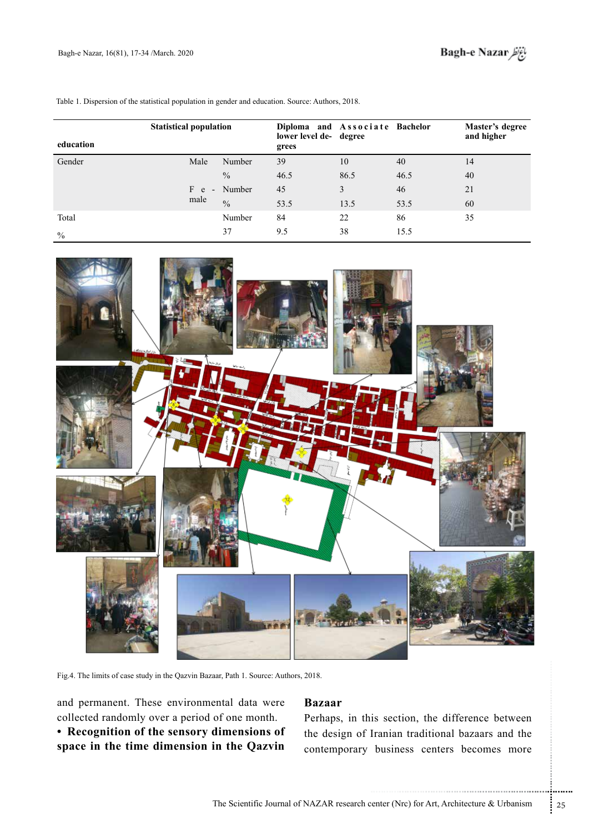| education     | <b>Statistical population</b> |               | Diploma and Associate Bachelor<br>lower level de- degree<br>grees |      |      | Master's degree<br>and higher |
|---------------|-------------------------------|---------------|-------------------------------------------------------------------|------|------|-------------------------------|
| Gender        | Male                          | Number        | 39                                                                | 10   | 40   | 14                            |
|               |                               | $\frac{0}{0}$ | 46.5                                                              | 86.5 | 46.5 | 40                            |
|               | F e                           | - Number      | 45                                                                | 3    | 46   | 21                            |
|               | male                          | $\frac{0}{0}$ | 53.5                                                              | 13.5 | 53.5 | 60                            |
| Total         |                               | Number        | 84                                                                | 22   | 86   | 35                            |
| $\frac{0}{0}$ |                               | 37            | 9.5                                                               | 38   | 15.5 |                               |

Table 1. Dispersion of the statistical population in gender and education. Source: Authors, 2018.



Fig.4. The limits of case study in the Qazvin Bazaar, Path 1. Source: Authors, 2018.

and permanent. These environmental data were collected randomly over a period of one month.

**• Recognition of the sensory dimensions of** space in the time dimension in the Qazvin

## **Bazaar**

is section, the difference between<br>Iranian traditional bazaars and the<br>business centers becomes more<br>therefore (Nrc) for Art, Architecture & Urbanism Perhaps, in this section, the difference between the design of Iranian traditional bazaars and the contemporary business centers becomes more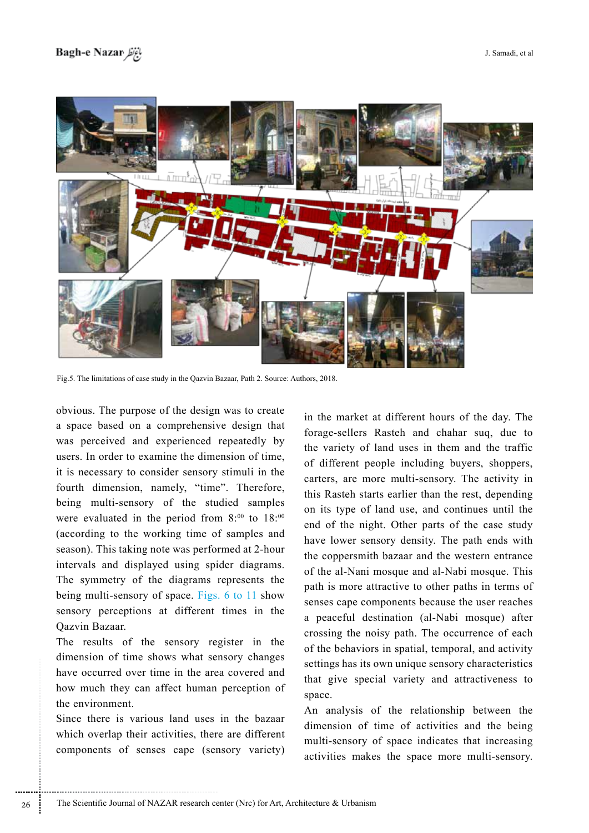

Fig.5. The limitations of case study in the Qazvin Bazaar, Path 2. Source: Authors, 2018.

obvious. The purpose of the design was to create. a space based on a comprehensive design that was perceived and experienced repeatedly by users. In order to examine the dimension of time, it is necessary to consider sensory stimuli in the fourth dimension, namely, "time". Therefore, being multi-sensory of the studied samples were evaluated in the period from  $8:00$  to  $18:00$ (according to the working time of samples and season). This taking note was performed at 2-hour intervals and displayed using spider diagrams. The symmetry of the diagrams represents the being multi-sensory of space. Figs. 6 to 11 show sensory perceptions at different times in the Oazvin Bazaar.

The results of the sensory register in the dimension of time shows what sensory changes have occurred over time in the area covered and how much they can affect human perception of the environment

Since there is various land uses in the bazaar which overlap their activities, there are different components of senses cape (sensory variety)

in the market at different hours of the day. The forage-sellers Rasteh and chahar sug, due to the variety of land uses in them and the traffic of different people including buyers, shoppers, carters, are more multi-sensory. The activity in this Rasteh starts earlier than the rest, depending on its type of land use, and continues until the end of the night. Other parts of the case study have lower sensory density. The path ends with the coppersmith bazaar and the western entrance of the al-Nani mosque and al-Nabi mosque. This path is more attractive to other paths in terms of senses cape components because the user reaches a peaceful destination (al-Nabi mosque) after crossing the noisy path. The occurrence of each of the behaviors in spatial, temporal, and activity settings has its own unique sensory characteristics that give special variety and attractiveness to space.

An analysis of the relationship between the dimension of time of activities and the being multi-sensory of space indicates that increasing activities makes the space more multi-sensory.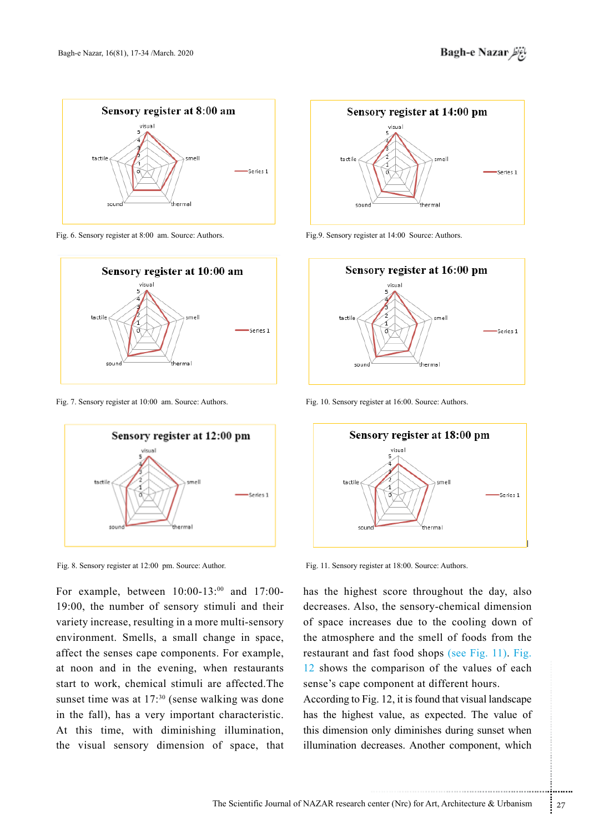

Fig. 6. Sensory register at 8:00 am. Source: Authors.



Fig. 7. Sensory register at 10:00 am. Source: Authors.



Fig. 8. Sensory register at 12:00 pm. Source: Author.

For example, between  $10:00-13:00$  and 17:00-19:00, the number of sensory stimuli and their variety increase, resulting in a more multi-sensory environment. Smells, a small change in space, affect the senses cape components. For example, at noon and in the evening, when restaurants start to work, chemical stimuli are affected. The sunset time was at  $17$ :<sup>30</sup> (sense walking was done in the fall), has a very important characteristic. At this time, with diminishing illumination, the visual sensory dimension of space, that



Fig.9. Sensory register at 14:00 Source: Authors.



Fig. 10. Sensory register at 16:00. Source: Authors.



Fig. 11. Sensory register at 18:00. Source: Authors.

has the highest score throughout the day, also decreases. Also, the sensory-chemical dimension of space increases due to the cooling down of the atmosphere and the smell of foods from the restaurant and fast food shops (see Fig. 11). Fig.  $\frac{12}{12}$  shows the comparison of the values of each sense's cape component at different hours.

comparison of the values of each<br>sumponent at different hours.<br>g. 12, it is found that visual landscape<br>t value, as expected. The value of<br>only diminishes during sunset when<br>creases. Another component, which<br>enter (Nrc) fo According to Fig. 12, it is found that visual landscape has the highest value, as expected. The value of this dimension only diminishes during sunset when illumination decreases. Another component, which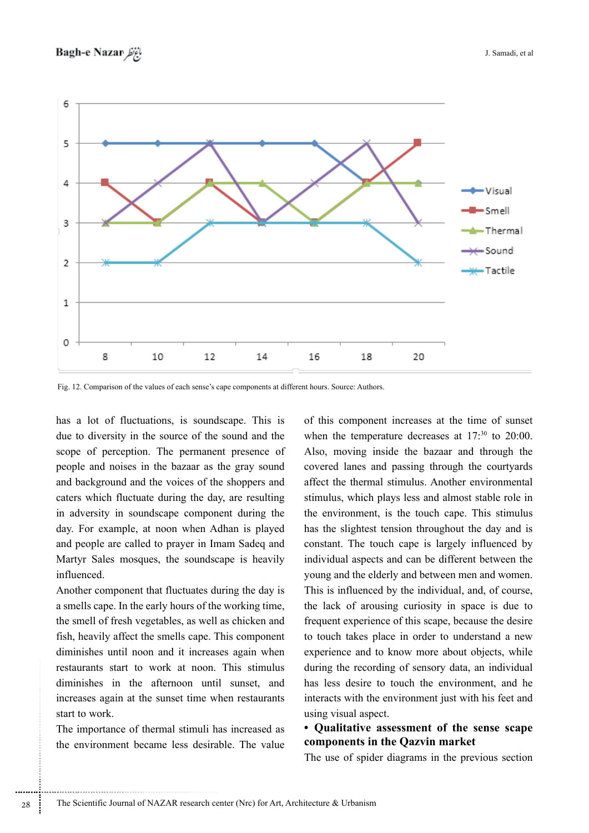

Fig. 12. Comparison of the values of each sense's cape components at different hours. Source: Authors.

has a lot of fluctuations, is soundscape. This is due to diversity in the source of the sound and the scope of perception. The permanent presence of people and noises in the bazaar as the gray sound and background and the voices of the shoppers and caters which fluctuate during the day, are resulting in adversity in soundscape component during the day. For example, at noon when Adhan is played and people are called to prayer in Imam Sadeq and Martyr Sales mosques, the soundscape is heavily .influenced

Another component that fluctuates during the day is a smells cape. In the early hours of the working time, the smell of fresh vegetables, as well as chicken and fish, heavily affect the smells cape. This component diminishes until noon and it increases again when restaurants start to work at noon. This stimulus diminishes in the afternoon until sunset, and increases again at the sunset time when restaurants start to work.

The importance of thermal stimuli has increased as the environment became less desirable. The value of this component increases at the time of sunset when the temperature decreases at  $17$ :<sup>30</sup> to  $20:00$ . Also, moving inside the bazaar and through the covered lanes and passing through the courty and solution affect the thermal stimulus. Another environmental stimulus, which plays less and almost stable role in the environment, is the touch cape. This stimulus has the slightest tension throughout the day and is constant. The touch cape is largely influenced by. individual aspects and can be different between the young and the elderly and between men and women. This is influenced by the individual, and, of course, the lack of arousing curiosity in space is due to frequent experience of this scape, because the desire to touch takes place in order to understand a new experience and to know more about objects, while during the recording of sensory data, an individual has less desire to touch the environment, and he interacts with the environment just with his feet and using visual aspect.

# **• Qualitative assessment of the sense scape** components in the Qazvin market

The use of spider diagrams in the previous section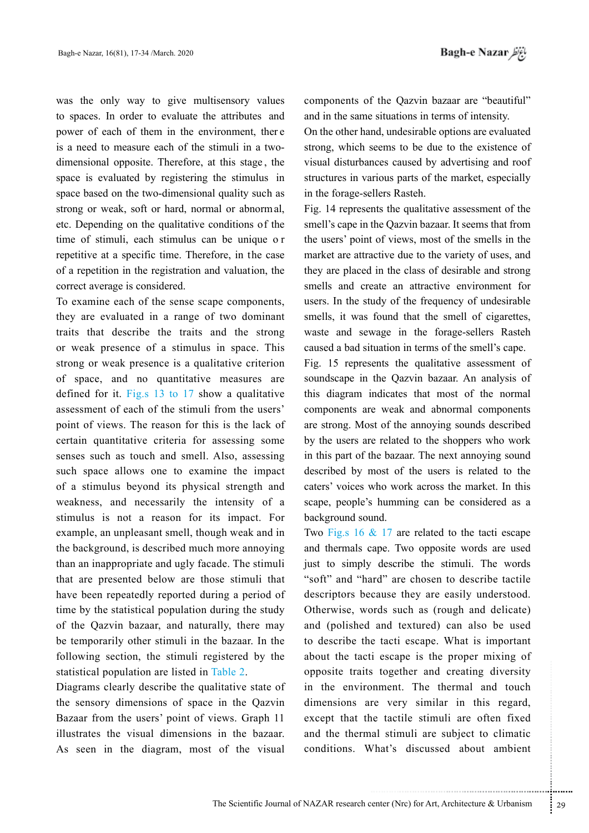was the only way to give multisensory values to spaces. In order to evaluate the attributes and power of each of them in the environment, there is a need to measure each of the stimuli in a twodimensional opposite. Therefore, at this stage, the space is evaluated by registering the stimulus in space based on the two-dimensional quality such as strong or weak, soft or hard, normal or abnormal, etc. Depending on the qualitative conditions of the time of stimuli, each stimulus can be unique or repetitive at a specific time. Therefore, in the case of a repetition in the registration and valuation, the correct average is considered.

To examine each of the sense scape components, they are evaluated in a range of two dominant traits that describe the traits and the strong or weak presence of a stimulus in space. This strong or weak presence is a qualitative criterion of space, and no quantitative measures are defined for it. Fig.s  $13$  to  $17$  show a qualitative assessment of each of the stimuli from the users' point of views. The reason for this is the lack of certain quantitative criteria for assessing some senses such as touch and smell. Also, assessing such space allows one to examine the impact of a stimulus beyond its physical strength and weakness, and necessarily the intensity of a stimulus is not a reason for its impact. For example, an unpleasant smell, though weak and in the background, is described much more annoying than an inappropriate and ugly facade. The stimuli that are presented below are those stimuli that have been repeatedly reported during a period of time by the statistical population during the study of the Qazvin bazaar, and naturally, there may be temporarily other stimuli in the bazaar. In the following section, the stimuli registered by the statistical population are listed in Table 2.

Diagrams clearly describe the qualitative state of the sensory dimensions of space in the Qazvin Bazaar from the users' point of views. Graph 11 illustrates the visual dimensions in the bazaar. As seen in the diagram, most of the visual components of the Qazvin bazaar are "beautiful" and in the same situations in terms of intensity.

On the other hand, undesirable options are evaluated strong, which seems to be due to the existence of visual disturbances caused by advertising and roof structures in various parts of the market, especially in the forage-sellers Rasteh.

Fig. 14 represents the qualitative assessment of the smell's cape in the Oazvin bazaar. It seems that from the users' point of views, most of the smells in the market are attractive due to the variety of uses, and they are placed in the class of desirable and strong smells and create an attractive environment for users. In the study of the frequency of undesirable smells, it was found that the smell of cigarettes, waste and sewage in the forage-sellers Rasteh caused a bad situation in terms of the smell's cape.

Fig. 15 represents the qualitative assessment of soundscape in the Qazvin bazaar. An analysis of this diagram indicates that most of the normal components are weak and abnormal components are strong. Most of the annoying sounds described by the users are related to the shoppers who work in this part of the bazaar. The next annoying sound described by most of the users is related to the caters' voices who work across the market. In this scape, people's humming can be considered as a background sound.

Two Fig.s 16  $\&$  17 are related to the tacti escape and thermals cape. Two opposite words are used just to simply describe the stimuli. The words "soft" and "hard" are chosen to describe tactile descriptors because they are easily understood. Otherwise, words such as (rough and delicate) and (polished and textured) can also be used to describe the tacti escape. What is important about the tacti escape is the proper mixing of opposite traits together and creating diversity in the environment. The thermal and touch dimensions are very similar in this regard, except that the tactile stimuli are often fixed and the thermal stimuli are subject to climatic conditions. What's discussed about ambient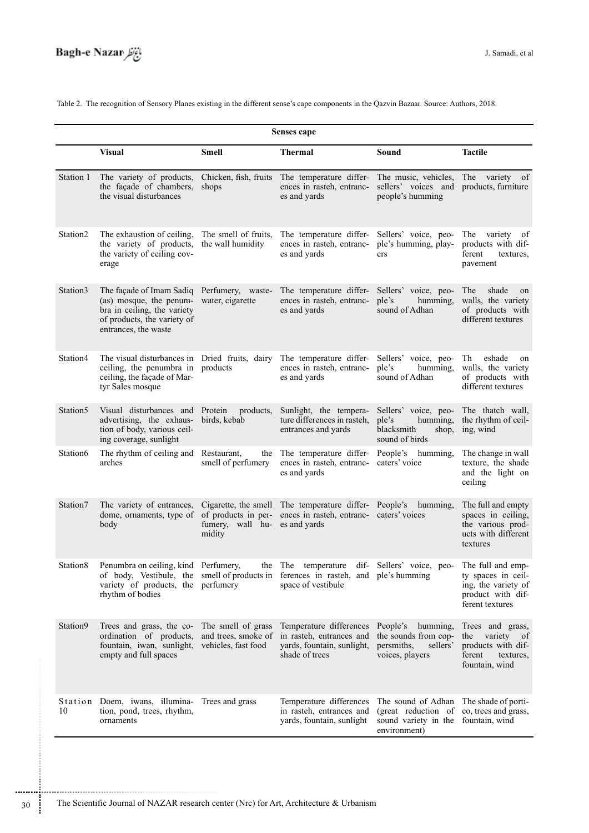Table 2. The recognition of Sensory Planes existing in the different sense's cape components in the Qazvin Bazaar. Source: Authors, 2018.

| Senses cape |                                                                                                                                                                                      |                                                                  |                                                                                                     |                                                                                                                       |                                                                                                        |  |  |  |  |  |
|-------------|--------------------------------------------------------------------------------------------------------------------------------------------------------------------------------------|------------------------------------------------------------------|-----------------------------------------------------------------------------------------------------|-----------------------------------------------------------------------------------------------------------------------|--------------------------------------------------------------------------------------------------------|--|--|--|--|--|
|             | <b>Visual</b>                                                                                                                                                                        | Smell                                                            | <b>Thermal</b>                                                                                      | Sound                                                                                                                 | <b>Tactile</b>                                                                                         |  |  |  |  |  |
| Station 1   | The variety of products,<br>the façade of chambers,<br>the visual disturbances                                                                                                       | Chicken, fish, fruits<br>shops                                   | The temperature differ-<br>ences in rasteh, entranc-<br>es and yards                                | The music, vehicles,<br>sellers' voices and<br>people's humming                                                       | The variety of<br>products, furniture                                                                  |  |  |  |  |  |
| Station2    | The exhaustion of ceiling,<br>the variety of products,<br>the variety of ceiling cov-<br>erage                                                                                       | The smell of fruits,<br>the wall humidity                        | The temperature differ-<br>ences in rasteh, entranc-<br>es and yards                                | Sellers' voice, peo-<br>ple's humming, play-<br>ers                                                                   | variety<br>The<br>- of<br>products with dif-<br>ferent<br>textures,<br>pavement                        |  |  |  |  |  |
| Station3    | The façade of Imam Sadiq Perfumery, waste-<br>(as) mosque, the penum-<br>bra in ceiling, the variety<br>of products, the variety of<br>entrances, the waste                          | water, cigarette                                                 | The temperature differ-<br>ences in rasteh, entranc-<br>es and yards                                | Sellers' voice, peo-<br>humming,<br>ple's<br>sound of Adhan                                                           | The<br>shade<br>on<br>walls, the variety<br>of products with<br>different textures                     |  |  |  |  |  |
| Station4    | The visual disturbances in<br>ceiling, the penumbra in<br>ceiling, the façade of Mar-<br>tyr Sales mosque                                                                            | Dried fruits, dairy<br>products                                  | The temperature differ-<br>ences in rasteh, entranc-<br>es and yards                                | Sellers' voice, peo-<br>ple's<br>humming,<br>sound of Adhan                                                           | eshade<br>Th<br>on<br>walls, the variety<br>of products with<br>different textures                     |  |  |  |  |  |
| Station5    | Visual disturbances and<br>advertising, the exhaus-<br>tion of body, various ceil-<br>ing coverage, sunlight                                                                         | Protein<br>products,<br>birds, kebab                             | Sunlight, the tempera-<br>ture differences in rasteh,<br>entrances and yards                        | Sellers' voice, peo-<br>humming,<br>ple's<br>blacksmith<br>shop,<br>sound of birds                                    | The thatch wall,<br>the rhythm of ceil-<br>ing, wind                                                   |  |  |  |  |  |
| Station6    | The rhythm of ceiling and<br>arches                                                                                                                                                  | Restaurant,<br>the<br>smell of perfumery                         | The temperature differ-<br>ences in rasteh, entranc-<br>es and yards                                | People's<br>humming,<br>caters' voice                                                                                 | The change in wall<br>texture, the shade<br>and the light on<br>ceiling                                |  |  |  |  |  |
| Station7    | The variety of entrances,<br>dome, ornaments, type of of products in per-<br>body                                                                                                    | fumery, wall hu- es and yards<br>midity                          | Cigarette, the smell The temperature differ- People's<br>ences in rasteh, entranc- caters' voices   | humming,                                                                                                              | The full and empty<br>spaces in ceiling,<br>the various prod-<br>ucts with different<br>textures       |  |  |  |  |  |
| Station8    | Penumbra on ceiling, kind Perfumery,<br>of body, Vestibule, the smell of products in ferences in rasteh, and ple's humming<br>variety of products, the perfumery<br>rhythm of bodies | the                                                              | The<br>dif-<br>temperature<br>space of vestibule                                                    | Sellers' voice, peo-                                                                                                  | The full and emp-<br>ty spaces in ceil-<br>ing, the variety of<br>product with dif-<br>ferent textures |  |  |  |  |  |
| Station9    | Trees and grass, the co-<br>ordination of products,<br>fountain, iwan, sunlight,<br>empty and full spaces                                                                            | The smell of grass<br>and trees, smoke of<br>vehicles, fast food | Temperature differences<br>in rasteh, entrances and<br>yards, fountain, sunlight,<br>shade of trees | People's<br>humming,<br>the sounds from cop-<br>persmiths,<br>sellers'<br>voices, players                             | Trees and grass,<br>variety of<br>the<br>products with dif-<br>ferent<br>textures.<br>fountain, wind   |  |  |  |  |  |
| 10          | Station Doem, iwans, illumina- Trees and grass<br>tion, pond, trees, rhythm,<br>ornaments                                                                                            |                                                                  | Temperature differences<br>in rasteh, entrances and<br>yards, fountain, sunlight                    | The sound of Adhan<br>(great reduction of co, trees and grass,<br>sound variety in the fountain, wind<br>environment) | The shade of porti-                                                                                    |  |  |  |  |  |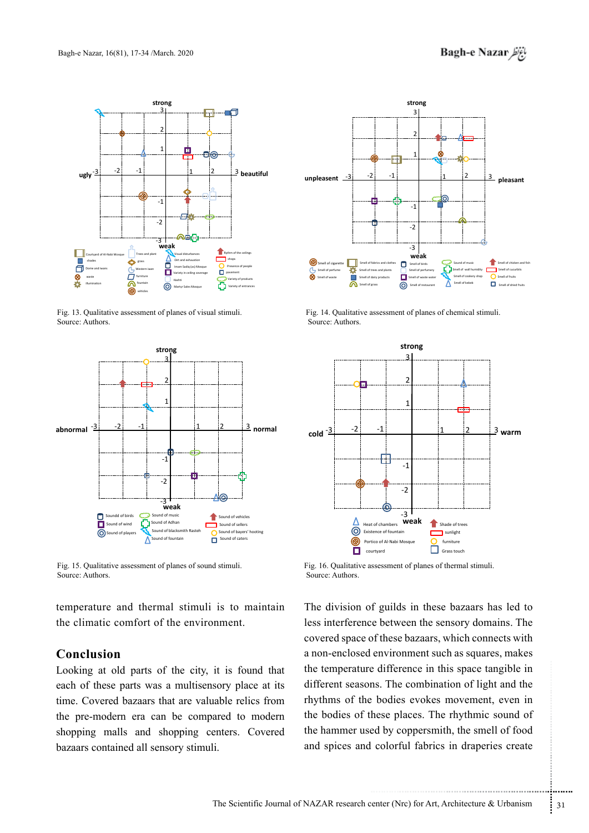

Fig. 13. Qualitative assessment of planes of visual stimuli. Source: Authors.



Fig. 15. Qualitative assessment of planes of sound stimuli. Source: Authors.

temperature and thermal stimuli is to maintain the climatic comfort of the environment.

# **Conclusion**

Looking at old parts of the city, it is found that each of these parts was a multisensory place at its time. Covered bazaars that are valuable relics from the pre-modern era can be compared to modern shopping malls and shopping centers. Covered bazaars contained all sensory stimuli.



Fig. 14. Qualitative assessment of planes of chemical stimuli. Source: Authors.



Fig. 16. Qualitative assessment of planes of thermal stimuli. Source: Authors.

e difference in this space tangible in<br>
ns. The combination of light and the<br>
bodies evokes movement, even in<br>
hese places. The rhythmic sound of<br>
ed by coppersmith, the smell of food<br>
colorful fabrics in draperies create<br> The division of guilds in these bazaars has led to less interference between the sensory domains. The covered space of these bazaars, which connects with a non-enclosed environment such as squares, makes the temperature difference in this space tangible in different seasons. The combination of light and the rhythms of the bodies evokes movement, even in the bodies of these places. The rhythmic sound of the hammer used by coppersmith, the smell of food and spices and colorful fabrics in draperies create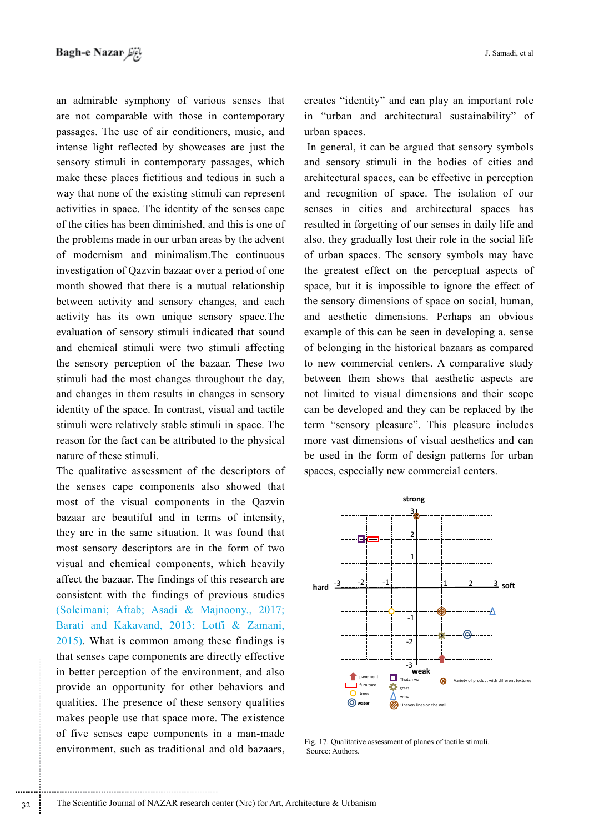an admirable symphony of various senses that are not comparable with those in contemporary passages. The use of air conditioners, music, and intense light reflected by showcases are just the sensory stimuli in contemporary passages, which make these places fictitious and tedious in such a way that none of the existing stimuli can represent activities in space. The identity of the senses cape of the cities has been diminished, and this is one of the problems made in our urban areas by the advent of modernism and minimalism. The continuous investigation of Qazvin bazaar over a period of one month showed that there is a mutual relationship between activity and sensory changes, and each activity has its own unique sensory space. The evaluation of sensory stimuli indicated that sound and chemical stimuli were two stimuli affecting the sensory perception of the bazaar. These two stimuli had the most changes throughout the day, and changes in them results in changes in sensory identity of the space. In contrast, visual and tactile stimuli were relatively stable stimuli in space. The reason for the fact can be attributed to the physical nature of these stimuli.

The qualitative assessment of the descriptors of the senses cape components also showed that most of the visual components in the Qazvin bazaar are beautiful and in terms of intensity, they are in the same situation. It was found that most sensory descriptors are in the form of two visual and chemical components, which heavily affect the bazaar. The findings of this research are consistent with the findings of previous studies (Soleimani; Aftab; Asadi & Majnoony., 2017; Barati and Kakavand, 2013; Lotfi & Zamani,  $2015$ . What is common among these findings is that senses cape components are directly effective in better perception of the environment, and also provide an opportunity for other behaviors and qualities. The presence of these sensory qualities makes people use that space more. The existence of five senses cape components in a man-made environment, such as traditional and old bazaars,

creates "identity" and can play an important role in "urban and architectural sustainability" of urban spaces.

In general, it can be argued that sensory symbols and sensory stimuli in the bodies of cities and architectural spaces, can be effective in perception and recognition of space. The isolation of our senses in cities and architectural spaces has resulted in forgetting of our senses in daily life and also, they gradually lost their role in the social life of urban spaces. The sensory symbols may have the greatest effect on the perceptual aspects of space, but it is impossible to ignore the effect of the sensory dimensions of space on social, human, and aesthetic dimensions. Perhaps an obvious example of this can be seen in developing a. sense of belonging in the historical bazaars as compared to new commercial centers. A comparative study between them shows that aesthetic aspects are not limited to visual dimensions and their scope can be developed and they can be replaced by the term "sensory pleasure". This pleasure includes more vast dimensions of visual aesthetics and can be used in the form of design patterns for urban spaces, especially new commercial centers.



Fig. 17. Qualitative assessment of planes of tactile stimuli. Source: Authors.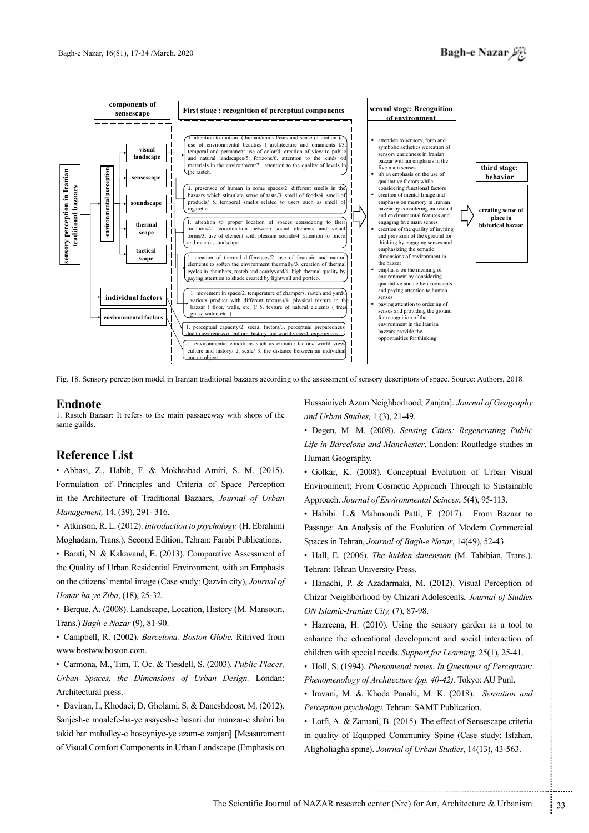

Fig. 18. Sensory perception model in Iranian traditional bazaars according to the assessment of sensory descriptors of space. Source: Authors, 2018.

#### **Endnote**

1. Rasteh Bazaar: It refers to the main passageway with shops of the same guilds.

## **Reference List**

· Abbasi, Z., Habib, F. & Mokhtabad Amiri, S. M. (2015). Formulation of Principles and Criteria of Space Perception in the Architecture of Traditional Bazaars, Journal of Urban Management, 14, (39), 291-316.

• Atkinson, R. L. (2012). introduction to psychology. (H. Ebrahimi Moghadam, Trans.). Second Edition, Tehran: Farabi Publications.

· Barati, N. & Kakavand, E. (2013). Comparative Assessment of the Quality of Urban Residential Environment, with an Emphasis on the citizens' mental image (Case study: Qazvin city), Journal of Honar-ha-ye Ziba, (18), 25-32.

• Berque, A. (2008). Landscape, Location, History (M. Mansouri, Trans.) Bagh-e Nazar (9), 81-90.

• Campbell, R. (2002). Barcelona. Boston Globe. Ritrived from www.bostww.boston.com.

• Carmona, M., Tim, T. Oc. & Tiesdell, S. (2003). Public Places, Urban Spaces, the Dimensions of Urban Design. Londan: Architectural press.

· Daviran, I., Khodaei, D., Gholami, S. & Daneshdoost, M. (2012). Sanjesh-e moalefe-ha-ye asayesh-e basari dar manzar-e shahri ba takid bar mahalley-e hoseyniye-ye azam-e zanjan] [Measurement of Visual Comfort Components in Urban Landscape (Emphasis on

Hussainiyeh Azam Neighborhood, Zanjan]. Journal of Geography and Urban Studies, 1 (3), 21-49.

· Degen, M. M. (2008). Sensing Cities: Regenerating Public Life in Barcelona and Manchester. London: Routledge studies in Human Geography.

· Golkar, K. (2008). Conceptual Evolution of Urban Visual Environment: From Cosmetic Approach Through to Sustainable Approach. Journal of Environmental Scinces, 5(4), 95-113.

· Habibi. L.& Mahmoudi Patti, F. (2017). From Bazaar to Passage: An Analysis of the Evolution of Modern Commercial Spaces in Tehran, Journal of Bagh-e Nazar, 14(49), 52-43.

• Hall, E. (2006). The hidden dimension (M. Tabibian, Trans.). Tehran: Tehran University Press.

· Hanachi, P. & Azadarmaki, M. (2012). Visual Perception of Chizar Neighborhood by Chizari Adolescents, Journal of Studies ON Islamic-Iranian City, (7), 87-98.

• Hazreena, H. (2010). Using the sensory garden as a tool to enhance the educational development and social interaction of children with special needs. Support for Learning, 25(1), 25-41.

• Holl, S. (1994). Phenomenal zones. In Questions of Perception: Phenomenology of Architecture (pp. 40-42). Tokyo: AU Punl.

· Iravani, M. & Khoda Panahi, M. K. (2018). Sensation and Perception psychology. Tehran: SAMT Publication.

• Lotfi, A. & Zamani, B. (2015). The effect of Sensescape criteria in quality of Equipped Community Spine (Case study: Isfahan, Aligholiagha spine). Journal of Urban Studies, 14(13), 43-563.